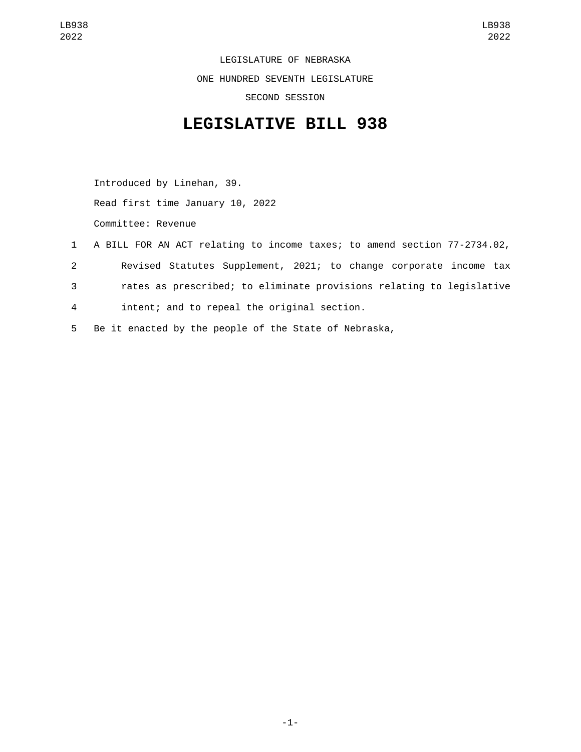LEGISLATURE OF NEBRASKA ONE HUNDRED SEVENTH LEGISLATURE SECOND SESSION

## **LEGISLATIVE BILL 938**

Introduced by Linehan, 39. Read first time January 10, 2022 Committee: Revenue

- 1 A BILL FOR AN ACT relating to income taxes; to amend section 77-2734.02, 2 Revised Statutes Supplement, 2021; to change corporate income tax 3 rates as prescribed; to eliminate provisions relating to legislative intent; and to repeal the original section.4
- 5 Be it enacted by the people of the State of Nebraska,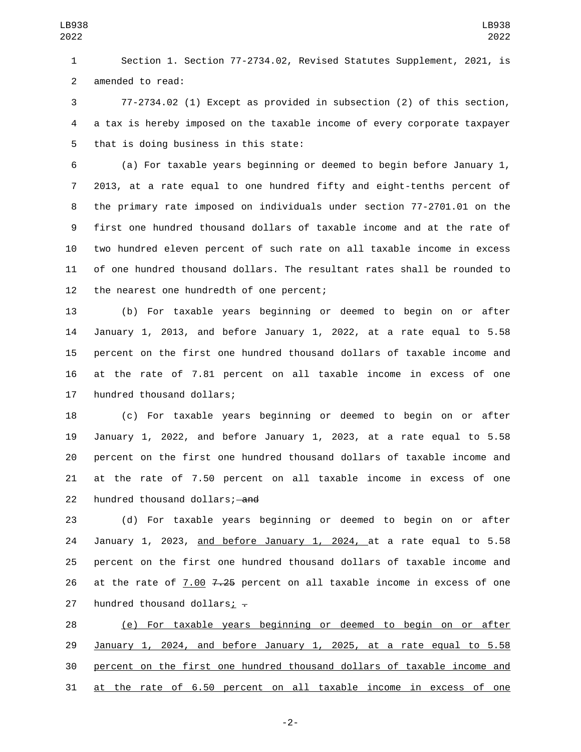Section 1. Section 77-2734.02, Revised Statutes Supplement, 2021, is 2 amended to read:

 77-2734.02 (1) Except as provided in subsection (2) of this section, a tax is hereby imposed on the taxable income of every corporate taxpayer 5 that is doing business in this state:

 (a) For taxable years beginning or deemed to begin before January 1, 2013, at a rate equal to one hundred fifty and eight-tenths percent of the primary rate imposed on individuals under section 77-2701.01 on the first one hundred thousand dollars of taxable income and at the rate of two hundred eleven percent of such rate on all taxable income in excess of one hundred thousand dollars. The resultant rates shall be rounded to 12 the nearest one hundredth of one percent;

 (b) For taxable years beginning or deemed to begin on or after January 1, 2013, and before January 1, 2022, at a rate equal to 5.58 percent on the first one hundred thousand dollars of taxable income and at the rate of 7.81 percent on all taxable income in excess of one 17 hundred thousand dollars;

 (c) For taxable years beginning or deemed to begin on or after January 1, 2022, and before January 1, 2023, at a rate equal to 5.58 percent on the first one hundred thousand dollars of taxable income and at the rate of 7.50 percent on all taxable income in excess of one 22 hundred thousand dollars; and

 (d) For taxable years beginning or deemed to begin on or after January 1, 2023, and before January 1, 2024, at a rate equal to 5.58 percent on the first one hundred thousand dollars of taxable income and 26 at the rate of 7.00  $7.25$  percent on all taxable income in excess of one 27 hundred thousand dollars;  $\overline{z}$ 

 (e) For taxable years beginning or deemed to begin on or after January 1, 2024, and before January 1, 2025, at a rate equal to 5.58 percent on the first one hundred thousand dollars of taxable income and at the rate of 6.50 percent on all taxable income in excess of one

-2-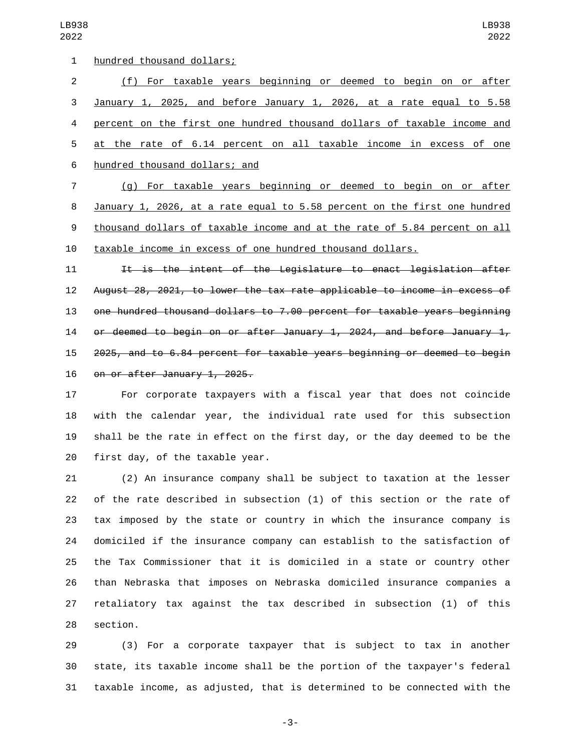| 1  | hundred thousand dollars;                                                 |
|----|---------------------------------------------------------------------------|
| 2  | (f) For taxable years beginning or deemed to begin on or after            |
| 3  | January 1, 2025, and before January 1, 2026, at a rate equal to 5.58      |
| 4  | percent on the first one hundred thousand dollars of taxable income and   |
| 5  | at the rate of 6.14 percent on all taxable income in excess of one        |
| 6  | hundred thousand dollars; and                                             |
| 7  | (g) For taxable years beginning or deemed to begin on or after            |
| 8  | January 1, 2026, at a rate equal to 5.58 percent on the first one hundred |
| 9  | thousand dollars of taxable income and at the rate of 5.84 percent on all |
| 10 | taxable income in excess of one hundred thousand dollars.                 |
|    |                                                                           |

11 It is the intent of the Legislature to enact legislation after August 28, 2021, to lower the tax rate applicable to income in excess of one hundred thousand dollars to 7.00 percent for taxable years beginning or deemed to begin on or after January 1, 2024, and before January 1, 2025, and to 6.84 percent for taxable years beginning or deemed to begin 16 on or after January 1, 2025.

 For corporate taxpayers with a fiscal year that does not coincide with the calendar year, the individual rate used for this subsection shall be the rate in effect on the first day, or the day deemed to be the first day, of the taxable year.

 (2) An insurance company shall be subject to taxation at the lesser of the rate described in subsection (1) of this section or the rate of tax imposed by the state or country in which the insurance company is domiciled if the insurance company can establish to the satisfaction of the Tax Commissioner that it is domiciled in a state or country other than Nebraska that imposes on Nebraska domiciled insurance companies a retaliatory tax against the tax described in subsection (1) of this 28 section.

 (3) For a corporate taxpayer that is subject to tax in another state, its taxable income shall be the portion of the taxpayer's federal taxable income, as adjusted, that is determined to be connected with the

-3-